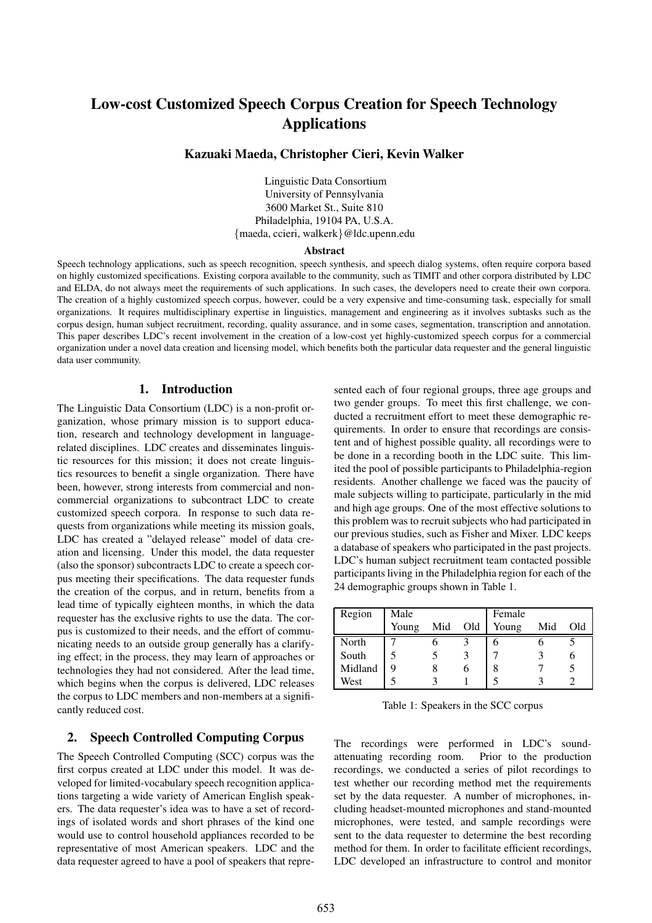# **Low-cost Customized Speech Corpus Creation for Speech Technology Applications**

### **Kazuaki Maeda, Christopher Cieri, Kevin Walker**

Linguistic Data Consortium University of Pennsylvania 3600 Market St., Suite 810 Philadelphia, 19104 PA, U.S.A. {maeda, ccieri, walkerk}@ldc.upenn.edu

#### **Abstract**

Speech technology applications, such as speech recognition, speech synthesis, and speech dialog systems, often require corpora based on highly customized specifications. Existing corpora available to the community, such as TIMIT and other corpora distributed by LDC and ELDA, do not always meet the requirements of such applications. In such cases, the developers need to create their own corpora. The creation of a highly customized speech corpus, however, could be a very expensive and time-consuming task, especially for small organizations. It requires multidisciplinary expertise in linguistics, management and engineering as it involves subtasks such as the corpus design, human subject recruitment, recording, quality assurance, and in some cases, segmentation, transcription and annotation. This paper describes LDC's recent involvement in the creation of a low-cost yet highly-customized speech corpus for a commercial organization under a novel data creation and licensing model, which benefits both the particular data requester and the general linguistic data user community.

#### **1. Introduction**

The Linguistic Data Consortium (LDC) is a non-profit organization, whose primary mission is to support education, research and technology development in languagerelated disciplines. LDC creates and disseminates linguistic resources for this mission; it does not create linguistics resources to benefit a single organization. There have been, however, strong interests from commercial and noncommercial organizations to subcontract LDC to create customized speech corpora. In response to such data requests from organizations while meeting its mission goals, LDC has created a "delayed release" model of data creation and licensing. Under this model, the data requester (also the sponsor) subcontracts LDC to create a speech corpus meeting their specifications. The data requester funds the creation of the corpus, and in return, benefits from a lead time of typically eighteen months, in which the data requester has the exclusive rights to use the data. The corpus is customized to their needs, and the effort of communicating needs to an outside group generally has a clarifying effect; in the process, they may learn of approaches or technologies they had not considered. After the lead time, which begins when the corpus is delivered, LDC releases the corpus to LDC members and non-members at a significantly reduced cost.

### **2. Speech Controlled Computing Corpus**

The Speech Controlled Computing (SCC) corpus was the first corpus created at LDC under this model. It was developed for limited-vocabulary speech recognition applications targeting a wide variety of American English speakers. The data requester's idea was to have a set of recordings of isolated words and short phrases of the kind one would use to control household appliances recorded to be representative of most American speakers. LDC and the data requester agreed to have a pool of speakers that repre-

sented each of four regional groups, three age groups and two gender groups. To meet this first challenge, we conducted a recruitment effort to meet these demographic requirements. In order to ensure that recordings are consistent and of highest possible quality, all recordings were to be done in a recording booth in the LDC suite. This limited the pool of possible participants to Philadelphia-region residents. Another challenge we faced was the paucity of male subjects willing to participate, particularly in the mid and high age groups. One of the most effective solutions to this problem was to recruit subjects who had participated in our previous studies, such as Fisher and Mixer. LDC keeps a database of speakers who participated in the past projects. LDC's human subject recruitment team contacted possible participants living in the Philadelphia region for each of the 24 demographic groups shown in Table 1.

| Region  | Male  |     |     | Female |     |     |
|---------|-------|-----|-----|--------|-----|-----|
|         | Young | Mid | Old | Young  | Mid | Old |
| North   |       |     |     |        |     |     |
| South   |       |     |     |        |     |     |
| Midland | q     |     | n   | 8      |     |     |
| West    |       |     |     |        |     |     |

Table 1: Speakers in the SCC corpus

The recordings were performed in LDC's soundattenuating recording room. Prior to the production recordings, we conducted a series of pilot recordings to test whether our recording method met the requirements set by the data requester. A number of microphones, including headset-mounted microphones and stand-mounted microphones, were tested, and sample recordings were sent to the data requester to determine the best recording method for them. In order to facilitate efficient recordings, LDC developed an infrastructure to control and monitor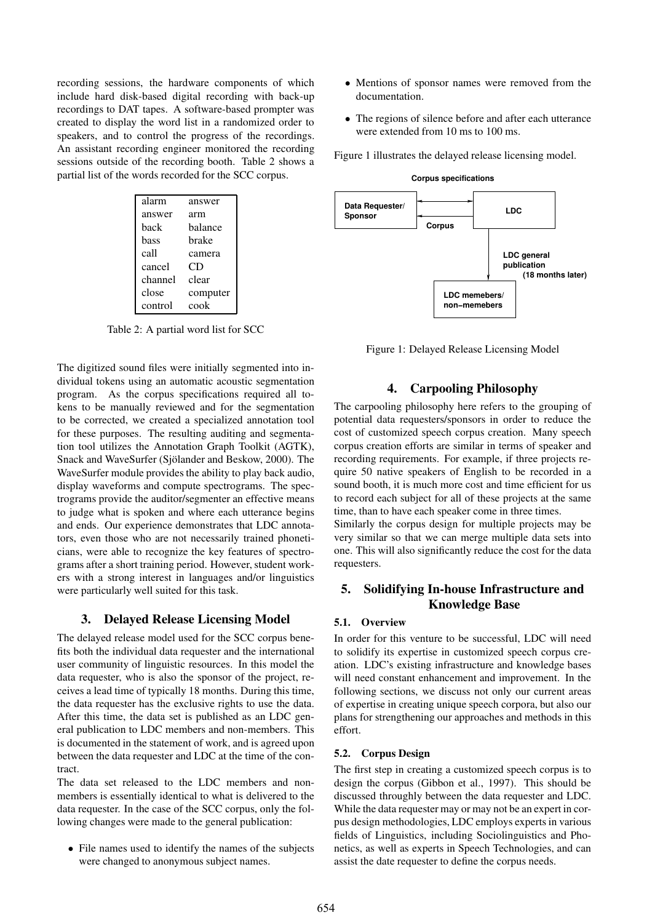recording sessions, the hardware components of which include hard disk-based digital recording with back-up recordings to DAT tapes. A software-based prompter was created to display the word list in a randomized order to speakers, and to control the progress of the recordings. An assistant recording engineer monitored the recording sessions outside of the recording booth. Table 2 shows a partial list of the words recorded for the SCC corpus.

| alarm   | answer   |  |  |
|---------|----------|--|--|
| answer  | arm      |  |  |
| hack    | balance  |  |  |
| bass    | brake    |  |  |
| call    | camera   |  |  |
| cancel  | CD       |  |  |
| channel | clear    |  |  |
| close   | computer |  |  |
| control | cook     |  |  |

Table 2: A partial word list for SCC

The digitized sound files were initially segmented into individual tokens using an automatic acoustic segmentation program. As the corpus specifications required all tokens to be manually reviewed and for the segmentation to be corrected, we created a specialized annotation tool for these purposes. The resulting auditing and segmentation tool utilizes the Annotation Graph Toolkit (AGTK), Snack and WaveSurfer (Sjölander and Beskow, 2000). The WaveSurfer module provides the ability to play back audio, display waveforms and compute spectrograms. The spectrograms provide the auditor/segmenter an effective means to judge what is spoken and where each utterance begins and ends. Our experience demonstrates that LDC annotators, even those who are not necessarily trained phoneticians, were able to recognize the key features of spectrograms after a short training period. However, student workers with a strong interest in languages and/or linguistics were particularly well suited for this task.

#### **3. Delayed Release Licensing Model**

The delayed release model used for the SCC corpus benefits both the individual data requester and the international user community of linguistic resources. In this model the data requester, who is also the sponsor of the project, receives a lead time of typically 18 months. During this time, the data requester has the exclusive rights to use the data. After this time, the data set is published as an LDC general publication to LDC members and non-members. This is documented in the statement of work, and is agreed upon between the data requester and LDC at the time of the contract.

The data set released to the LDC members and nonmembers is essentially identical to what is delivered to the data requester. In the case of the SCC corpus, only the following changes were made to the general publication:

• File names used to identify the names of the subjects were changed to anonymous subject names.

- Mentions of sponsor names were removed from the documentation.
- The regions of silence before and after each utterance were extended from 10 ms to 100 ms.

Figure 1 illustrates the delayed release licensing model.



Figure 1: Delayed Release Licensing Model

#### **4. Carpooling Philosophy**

The carpooling philosophy here refers to the grouping of potential data requesters/sponsors in order to reduce the cost of customized speech corpus creation. Many speech corpus creation efforts are similar in terms of speaker and recording requirements. For example, if three projects require 50 native speakers of English to be recorded in a sound booth, it is much more cost and time efficient for us to record each subject for all of these projects at the same time, than to have each speaker come in three times.

Similarly the corpus design for multiple projects may be very similar so that we can merge multiple data sets into one. This will also significantly reduce the cost for the data requesters.

## **5. Solidifying In-house Infrastructure and Knowledge Base**

#### **5.1. Overview**

In order for this venture to be successful, LDC will need to solidify its expertise in customized speech corpus creation. LDC's existing infrastructure and knowledge bases will need constant enhancement and improvement. In the following sections, we discuss not only our current areas of expertise in creating unique speech corpora, but also our plans for strengthening our approaches and methods in this effort.

#### **5.2. Corpus Design**

The first step in creating a customized speech corpus is to design the corpus (Gibbon et al., 1997). This should be discussed throughly between the data requester and LDC. While the data requester may or may not be an expert in corpus design methodologies, LDC employs experts in various fields of Linguistics, including Sociolinguistics and Phonetics, as well as experts in Speech Technologies, and can assist the date requester to define the corpus needs.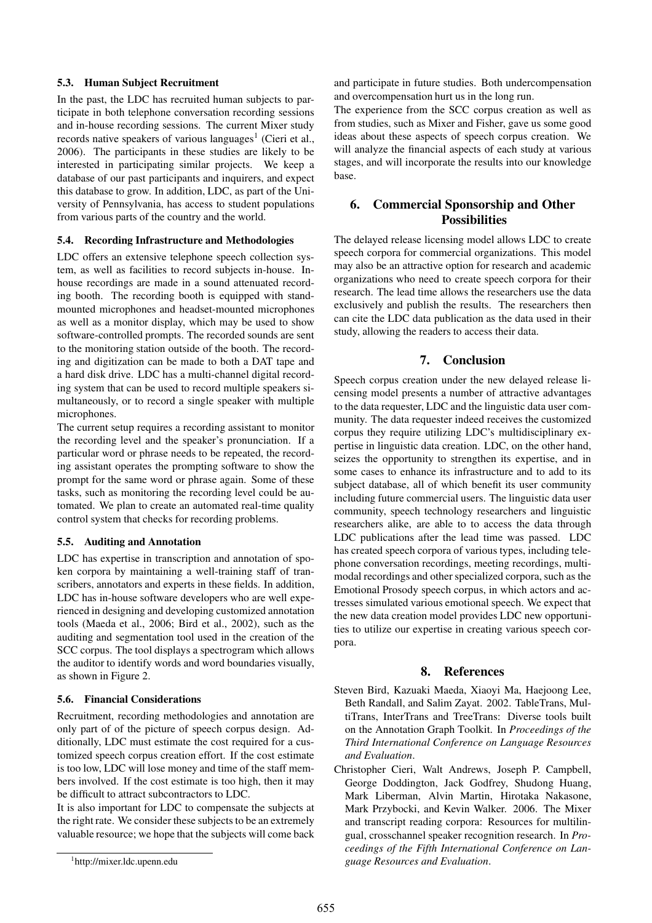#### **5.3. Human Subject Recruitment**

In the past, the LDC has recruited human subjects to participate in both telephone conversation recording sessions and in-house recording sessions. The current Mixer study records native speakers of various languages<sup>1</sup> (Cieri et al., 2006). The participants in these studies are likely to be interested in participating similar projects. We keep a database of our past participants and inquirers, and expect this database to grow. In addition, LDC, as part of the University of Pennsylvania, has access to student populations from various parts of the country and the world.

#### **5.4. Recording Infrastructure and Methodologies**

LDC offers an extensive telephone speech collection system, as well as facilities to record subjects in-house. Inhouse recordings are made in a sound attenuated recording booth. The recording booth is equipped with standmounted microphones and headset-mounted microphones as well as a monitor display, which may be used to show software-controlled prompts. The recorded sounds are sent to the monitoring station outside of the booth. The recording and digitization can be made to both a DAT tape and a hard disk drive. LDC has a multi-channel digital recording system that can be used to record multiple speakers simultaneously, or to record a single speaker with multiple microphones.

The current setup requires a recording assistant to monitor the recording level and the speaker's pronunciation. If a particular word or phrase needs to be repeated, the recording assistant operates the prompting software to show the prompt for the same word or phrase again. Some of these tasks, such as monitoring the recording level could be automated. We plan to create an automated real-time quality control system that checks for recording problems.

#### **5.5. Auditing and Annotation**

LDC has expertise in transcription and annotation of spoken corpora by maintaining a well-training staff of transcribers, annotators and experts in these fields. In addition, LDC has in-house software developers who are well experienced in designing and developing customized annotation tools (Maeda et al., 2006; Bird et al., 2002), such as the auditing and segmentation tool used in the creation of the SCC corpus. The tool displays a spectrogram which allows the auditor to identify words and word boundaries visually, as shown in Figure 2.

#### **5.6. Financial Considerations**

Recruitment, recording methodologies and annotation are only part of of the picture of speech corpus design. Additionally, LDC must estimate the cost required for a customized speech corpus creation effort. If the cost estimate is too low, LDC will lose money and time of the staff members involved. If the cost estimate is too high, then it may be difficult to attract subcontractors to LDC.

It is also important for LDC to compensate the subjects at the right rate. We consider these subjects to be an extremely valuable resource; we hope that the subjects will come back and participate in future studies. Both undercompensation and overcompensation hurt us in the long run.

The experience from the SCC corpus creation as well as from studies, such as Mixer and Fisher, gave us some good ideas about these aspects of speech corpus creation. We will analyze the financial aspects of each study at various stages, and will incorporate the results into our knowledge base.

## **6. Commercial Sponsorship and Other Possibilities**

The delayed release licensing model allows LDC to create speech corpora for commercial organizations. This model may also be an attractive option for research and academic organizations who need to create speech corpora for their research. The lead time allows the researchers use the data exclusively and publish the results. The researchers then can cite the LDC data publication as the data used in their study, allowing the readers to access their data.

## **7. Conclusion**

Speech corpus creation under the new delayed release licensing model presents a number of attractive advantages to the data requester, LDC and the linguistic data user community. The data requester indeed receives the customized corpus they require utilizing LDC's multidisciplinary expertise in linguistic data creation. LDC, on the other hand, seizes the opportunity to strengthen its expertise, and in some cases to enhance its infrastructure and to add to its subject database, all of which benefit its user community including future commercial users. The linguistic data user community, speech technology researchers and linguistic researchers alike, are able to to access the data through LDC publications after the lead time was passed. LDC has created speech corpora of various types, including telephone conversation recordings, meeting recordings, multimodal recordings and other specialized corpora, such as the Emotional Prosody speech corpus, in which actors and actresses simulated various emotional speech. We expect that the new data creation model provides LDC new opportunities to utilize our expertise in creating various speech corpora.

#### **8. References**

- Steven Bird, Kazuaki Maeda, Xiaoyi Ma, Haejoong Lee, Beth Randall, and Salim Zayat. 2002. TableTrans, MultiTrans, InterTrans and TreeTrans: Diverse tools built on the Annotation Graph Toolkit. In *Proceedings of the Third International Conference on Language Resources and Evaluation*.
- Christopher Cieri, Walt Andrews, Joseph P. Campbell, George Doddington, Jack Godfrey, Shudong Huang, Mark Liberman, Alvin Martin, Hirotaka Nakasone, Mark Przybocki, and Kevin Walker. 2006. The Mixer and transcript reading corpora: Resources for multilingual, crosschannel speaker recognition research. In *Proceedings of the Fifth International Conference on Language Resources and Evaluation*.

<sup>1</sup> http://mixer.ldc.upenn.edu